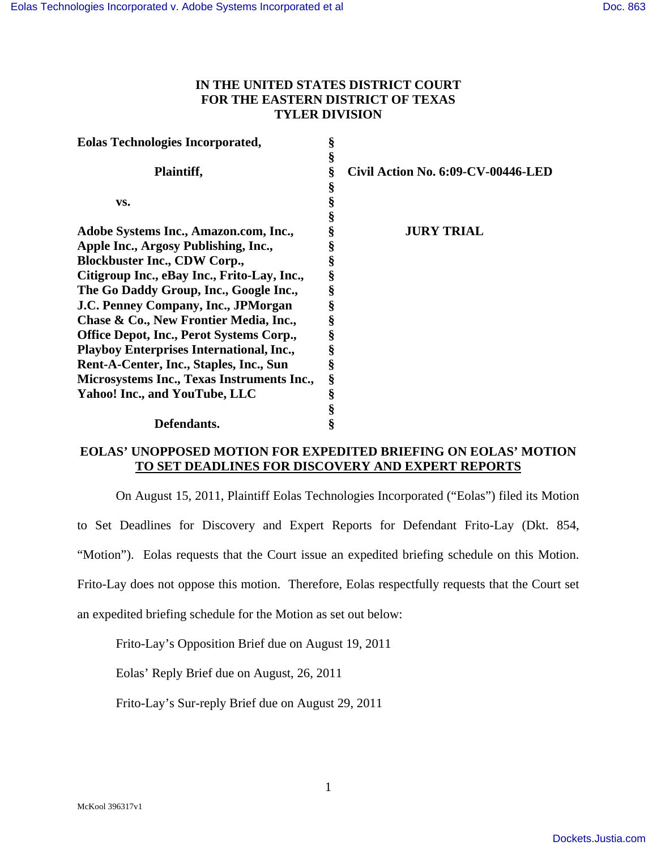# **IN THE UNITED STATES DISTRICT COURT FOR THE EASTERN DISTRICT OF TEXAS TYLER DIVISION**

| <b>Eolas Technologies Incorporated,</b>         | § |                                    |
|-------------------------------------------------|---|------------------------------------|
|                                                 | § |                                    |
| Plaintiff,                                      | ş | Civil Action No. 6:09-CV-00446-LED |
|                                                 |   |                                    |
| VS.                                             |   |                                    |
|                                                 |   |                                    |
| Adobe Systems Inc., Amazon.com, Inc.,           |   | <b>JURY TRIAL</b>                  |
| Apple Inc., Argosy Publishing, Inc.,            |   |                                    |
| <b>Blockbuster Inc., CDW Corp.,</b>             |   |                                    |
| Citigroup Inc., eBay Inc., Frito-Lay, Inc.,     | § |                                    |
| The Go Daddy Group, Inc., Google Inc.,          |   |                                    |
| J.C. Penney Company, Inc., JPMorgan             |   |                                    |
| Chase & Co., New Frontier Media, Inc.,          |   |                                    |
| <b>Office Depot, Inc., Perot Systems Corp.,</b> |   |                                    |
| Playboy Enterprises International, Inc.,        |   |                                    |
| Rent-A-Center, Inc., Staples, Inc., Sun         | ş |                                    |
| Microsystems Inc., Texas Instruments Inc.,      | § |                                    |
| Yahoo! Inc., and YouTube, LLC                   | § |                                    |
|                                                 | § |                                    |
| Defendants.                                     | ş |                                    |

# **EOLAS' UNOPPOSED MOTION FOR EXPEDITED BRIEFING ON EOLAS' MOTION TO SET DEADLINES FOR DISCOVERY AND EXPERT REPORTS**

On August 15, 2011, Plaintiff Eolas Technologies Incorporated ("Eolas") filed its Motion to Set Deadlines for Discovery and Expert Reports for Defendant Frito-Lay (Dkt. 854, "Motion"). Eolas requests that the Court issue an expedited briefing schedule on this Motion. Frito-Lay does not oppose this motion. Therefore, Eolas respectfully requests that the Court set

an expedited briefing schedule for the Motion as set out below:

Frito-Lay's Opposition Brief due on August 19, 2011

Eolas' Reply Brief due on August, 26, 2011

Frito-Lay's Sur-reply Brief due on August 29, 2011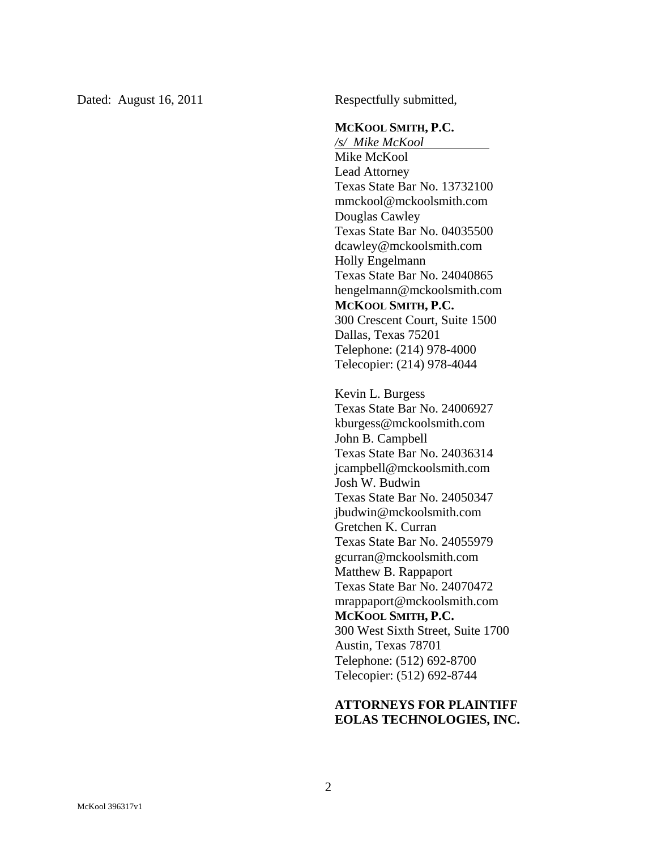Dated: August 16, 2011 Respectfully submitted,

#### **MCKOOL SMITH, P.C.**

*/s/ Mike McKool*  Mike McKool Lead Attorney Texas State Bar No. 13732100 mmckool@mckoolsmith.com Douglas Cawley Texas State Bar No. 04035500 dcawley@mckoolsmith.com Holly Engelmann Texas State Bar No. 24040865 hengelmann@mckoolsmith.com **MCKOOL SMITH, P.C.**  300 Crescent Court, Suite 1500 Dallas, Texas 75201 Telephone: (214) 978-4000 Telecopier: (214) 978-4044

Kevin L. Burgess Texas State Bar No. 24006927 kburgess@mckoolsmith.com John B. Campbell Texas State Bar No. 24036314 jcampbell@mckoolsmith.com Josh W. Budwin Texas State Bar No. 24050347 jbudwin@mckoolsmith.com Gretchen K. Curran Texas State Bar No. 24055979 gcurran@mckoolsmith.com Matthew B. Rappaport Texas State Bar No. 24070472 mrappaport@mckoolsmith.com **MCKOOL SMITH, P.C.**  300 West Sixth Street, Suite 1700 Austin, Texas 78701 Telephone: (512) 692-8700 Telecopier: (512) 692-8744

# **ATTORNEYS FOR PLAINTIFF EOLAS TECHNOLOGIES, INC.**